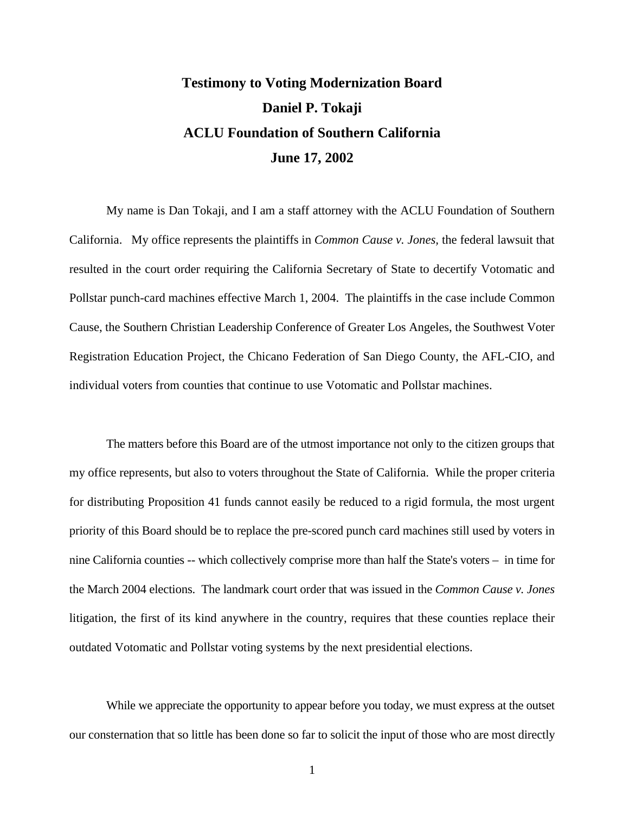## **Testimony to Voting Modernization Board Daniel P. Tokaji ACLU Foundation of Southern California June 17, 2002**

My name is Dan Tokaji, and I am a staff attorney with the ACLU Foundation of Southern California. My office represents the plaintiffs in *Common Cause v. Jones,* the federal lawsuit that resulted in the court order requiring the California Secretary of State to decertify Votomatic and Pollstar punch-card machines effective March 1, 2004. The plaintiffs in the case include Common Cause, the Southern Christian Leadership Conference of Greater Los Angeles, the Southwest Voter Registration Education Project, the Chicano Federation of San Diego County, the AFL-CIO, and individual voters from counties that continue to use Votomatic and Pollstar machines.

The matters before this Board are of the utmost importance not only to the citizen groups that my office represents, but also to voters throughout the State of California. While the proper criteria for distributing Proposition 41 funds cannot easily be reduced to a rigid formula, the most urgent priority of this Board should be to replace the pre-scored punch card machines still used by voters in nine California counties -- which collectively comprise more than half the State's voters – in time for the March 2004 elections. The landmark court order that was issued in the *Common Cause v. Jones* litigation, the first of its kind anywhere in the country, requires that these counties replace their outdated Votomatic and Pollstar voting systems by the next presidential elections.

While we appreciate the opportunity to appear before you today, we must express at the outset our consternation that so little has been done so far to solicit the input of those who are most directly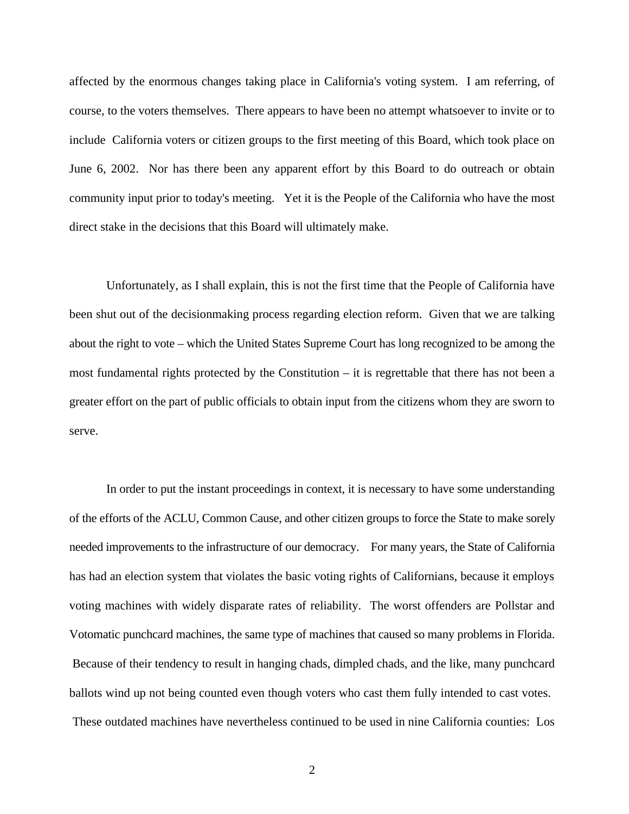affected by the enormous changes taking place in California's voting system. I am referring, of course, to the voters themselves. There appears to have been no attempt whatsoever to invite or to include California voters or citizen groups to the first meeting of this Board, which took place on June 6, 2002. Nor has there been any apparent effort by this Board to do outreach or obtain community input prior to today's meeting. Yet it is the People of the California who have the most direct stake in the decisions that this Board will ultimately make.

Unfortunately, as I shall explain, this is not the first time that the People of California have been shut out of the decisionmaking process regarding election reform. Given that we are talking about the right to vote – which the United States Supreme Court has long recognized to be among the most fundamental rights protected by the Constitution – it is regrettable that there has not been a greater effort on the part of public officials to obtain input from the citizens whom they are sworn to serve.

In order to put the instant proceedings in context, it is necessary to have some understanding of the efforts of the ACLU, Common Cause, and other citizen groups to force the State to make sorely needed improvements to the infrastructure of our democracy. For many years, the State of California has had an election system that violates the basic voting rights of Californians, because it employs voting machines with widely disparate rates of reliability. The worst offenders are Pollstar and Votomatic punchcard machines, the same type of machines that caused so many problems in Florida. Because of their tendency to result in hanging chads, dimpled chads, and the like, many punchcard ballots wind up not being counted even though voters who cast them fully intended to cast votes. These outdated machines have nevertheless continued to be used in nine California counties: Los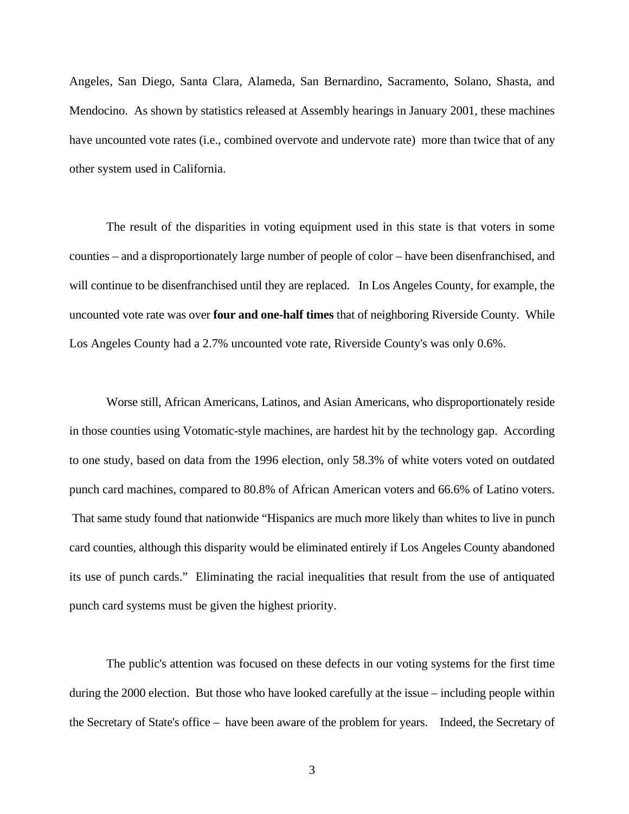Angeles, San Diego, Santa Clara, Alameda, San Bernardino, Sacramento, Solano, Shasta, and Mendocino. As shown by statistics released at Assembly hearings in January 2001, these machines have uncounted vote rates (i.e., combined overvote and undervote rate) more than twice that of any other system used in California.

The result of the disparities in voting equipment used in this state is that voters in some counties – and a disproportionately large number of people of color – have been disenfranchised, and will continue to be disenfranchised until they are replaced. In Los Angeles County, for example, the uncounted vote rate was over **four and one-half times** that of neighboring Riverside County. While Los Angeles County had a 2.7% uncounted vote rate, Riverside County's was only 0.6%.

Worse still, African Americans, Latinos, and Asian Americans, who disproportionately reside in those counties using Votomatic-style machines, are hardest hit by the technology gap. According to one study, based on data from the 1996 election, only 58.3% of white voters voted on outdated punch card machines, compared to 80.8% of African American voters and 66.6% of Latino voters. That same study found that nationwide "Hispanics are much more likely than whites to live in punch card counties, although this disparity would be eliminated entirely if Los Angeles County abandoned its use of punch cards." Eliminating the racial inequalities that result from the use of antiquated punch card systems must be given the highest priority.

The public's attention was focused on these defects in our voting systems for the first time during the 2000 election. But those who have looked carefully at the issue – including people within the Secretary of State's office – have been aware of the problem for years. Indeed, the Secretary of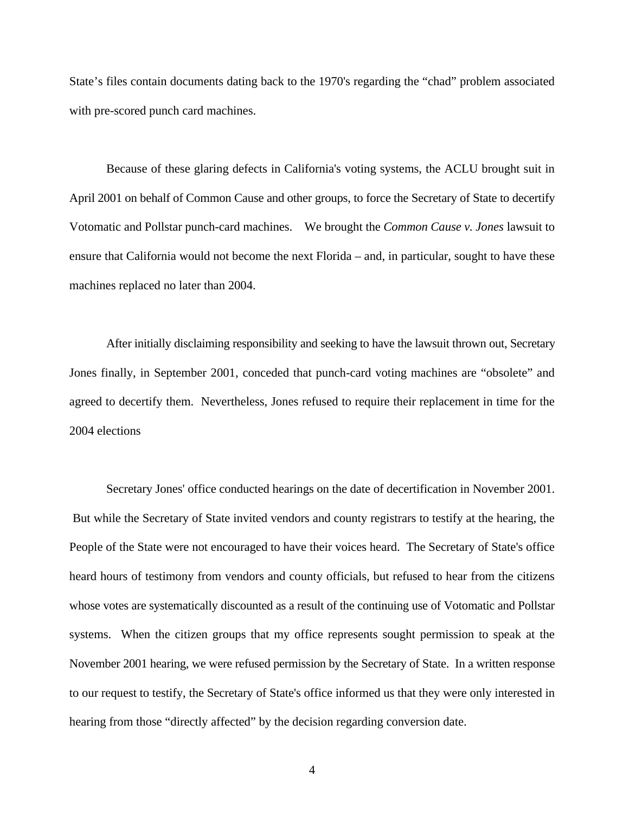State's files contain documents dating back to the 1970's regarding the "chad" problem associated with pre-scored punch card machines.

Because of these glaring defects in California's voting systems, the ACLU brought suit in April 2001 on behalf of Common Cause and other groups, to force the Secretary of State to decertify Votomatic and Pollstar punch-card machines. We brought the *Common Cause v. Jones* lawsuit to ensure that California would not become the next Florida – and, in particular, sought to have these machines replaced no later than 2004.

After initially disclaiming responsibility and seeking to have the lawsuit thrown out, Secretary Jones finally, in September 2001, conceded that punch-card voting machines are "obsolete" and agreed to decertify them. Nevertheless, Jones refused to require their replacement in time for the 2004 elections

Secretary Jones' office conducted hearings on the date of decertification in November 2001. But while the Secretary of State invited vendors and county registrars to testify at the hearing, the People of the State were not encouraged to have their voices heard. The Secretary of State's office heard hours of testimony from vendors and county officials, but refused to hear from the citizens whose votes are systematically discounted as a result of the continuing use of Votomatic and Pollstar systems. When the citizen groups that my office represents sought permission to speak at the November 2001 hearing, we were refused permission by the Secretary of State. In a written response to our request to testify, the Secretary of State's office informed us that they were only interested in hearing from those "directly affected" by the decision regarding conversion date.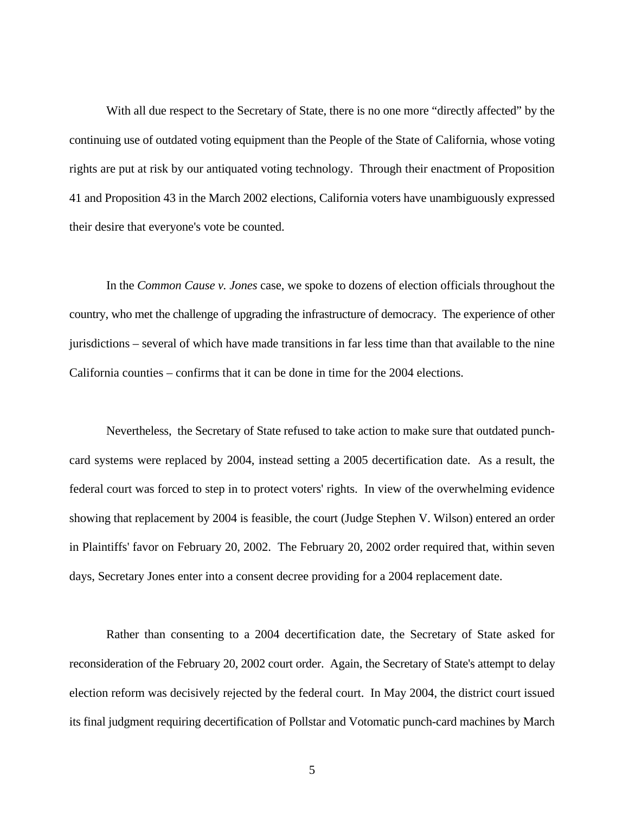With all due respect to the Secretary of State, there is no one more "directly affected" by the continuing use of outdated voting equipment than the People of the State of California, whose voting rights are put at risk by our antiquated voting technology. Through their enactment of Proposition 41 and Proposition 43 in the March 2002 elections, California voters have unambiguously expressed their desire that everyone's vote be counted.

In the *Common Cause v. Jones* case, we spoke to dozens of election officials throughout the country, who met the challenge of upgrading the infrastructure of democracy. The experience of other jurisdictions – several of which have made transitions in far less time than that available to the nine California counties – confirms that it can be done in time for the 2004 elections.

Nevertheless, the Secretary of State refused to take action to make sure that outdated punchcard systems were replaced by 2004, instead setting a 2005 decertification date. As a result, the federal court was forced to step in to protect voters' rights. In view of the overwhelming evidence showing that replacement by 2004 is feasible, the court (Judge Stephen V. Wilson) entered an order in Plaintiffs' favor on February 20, 2002. The February 20, 2002 order required that, within seven days, Secretary Jones enter into a consent decree providing for a 2004 replacement date.

Rather than consenting to a 2004 decertification date, the Secretary of State asked for reconsideration of the February 20, 2002 court order. Again, the Secretary of State's attempt to delay election reform was decisively rejected by the federal court. In May 2004, the district court issued its final judgment requiring decertification of Pollstar and Votomatic punch-card machines by March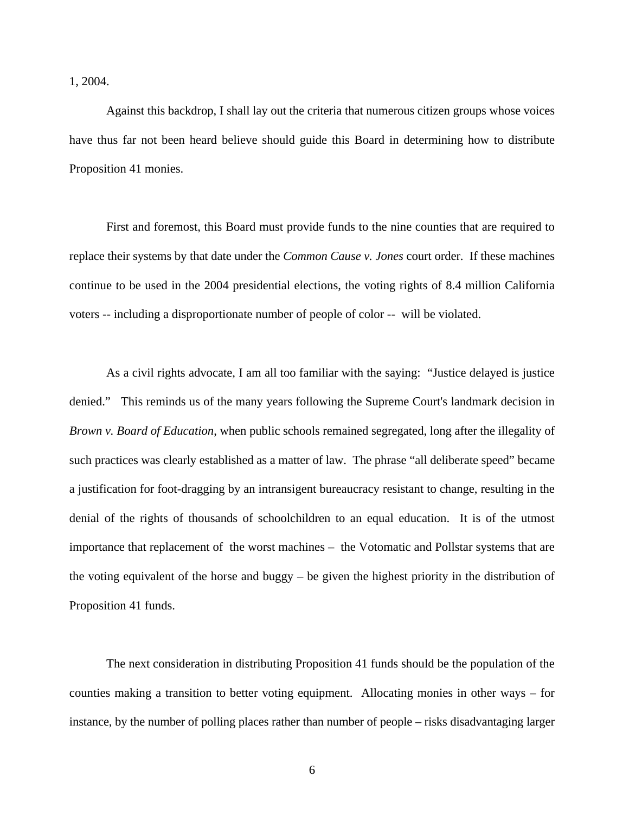1, 2004.

Against this backdrop, I shall lay out the criteria that numerous citizen groups whose voices have thus far not been heard believe should guide this Board in determining how to distribute Proposition 41 monies.

First and foremost, this Board must provide funds to the nine counties that are required to replace their systems by that date under the *Common Cause v. Jones* court order. If these machines continue to be used in the 2004 presidential elections, the voting rights of 8.4 million California voters -- including a disproportionate number of people of color -- will be violated.

As a civil rights advocate, I am all too familiar with the saying: "Justice delayed is justice denied." This reminds us of the many years following the Supreme Court's landmark decision in *Brown v. Board of Education*, when public schools remained segregated, long after the illegality of such practices was clearly established as a matter of law. The phrase "all deliberate speed" became a justification for foot-dragging by an intransigent bureaucracy resistant to change, resulting in the denial of the rights of thousands of schoolchildren to an equal education. It is of the utmost importance that replacement of the worst machines – the Votomatic and Pollstar systems that are the voting equivalent of the horse and buggy – be given the highest priority in the distribution of Proposition 41 funds.

The next consideration in distributing Proposition 41 funds should be the population of the counties making a transition to better voting equipment. Allocating monies in other ways – for instance, by the number of polling places rather than number of people – risks disadvantaging larger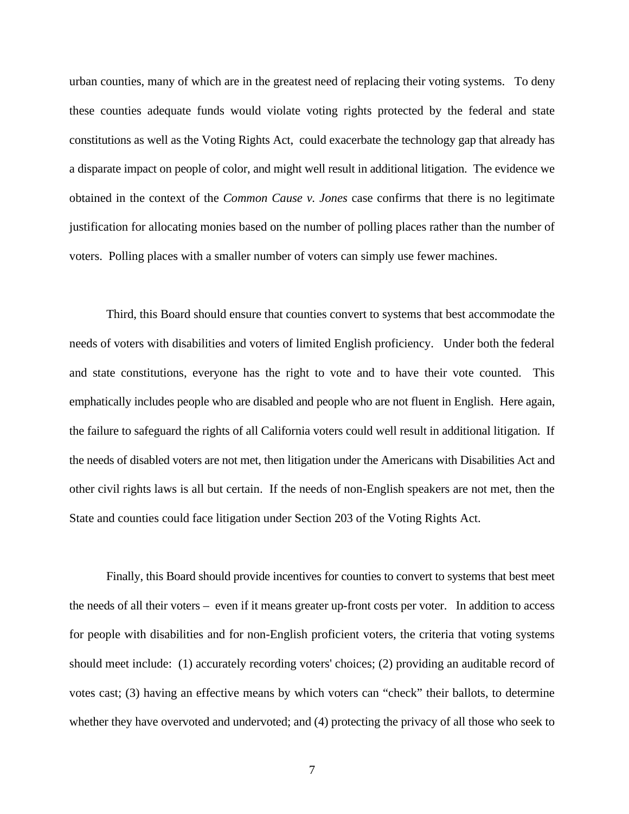urban counties, many of which are in the greatest need of replacing their voting systems. To deny these counties adequate funds would violate voting rights protected by the federal and state constitutions as well as the Voting Rights Act, could exacerbate the technology gap that already has a disparate impact on people of color, and might well result in additional litigation. The evidence we obtained in the context of the *Common Cause v. Jones* case confirms that there is no legitimate justification for allocating monies based on the number of polling places rather than the number of voters. Polling places with a smaller number of voters can simply use fewer machines.

Third, this Board should ensure that counties convert to systems that best accommodate the needs of voters with disabilities and voters of limited English proficiency. Under both the federal and state constitutions, everyone has the right to vote and to have their vote counted. This emphatically includes people who are disabled and people who are not fluent in English. Here again, the failure to safeguard the rights of all California voters could well result in additional litigation. If the needs of disabled voters are not met, then litigation under the Americans with Disabilities Act and other civil rights laws is all but certain. If the needs of non-English speakers are not met, then the State and counties could face litigation under Section 203 of the Voting Rights Act.

Finally, this Board should provide incentives for counties to convert to systems that best meet the needs of all their voters – even if it means greater up-front costs per voter. In addition to access for people with disabilities and for non-English proficient voters, the criteria that voting systems should meet include: (1) accurately recording voters' choices; (2) providing an auditable record of votes cast; (3) having an effective means by which voters can "check" their ballots, to determine whether they have overvoted and undervoted; and (4) protecting the privacy of all those who seek to